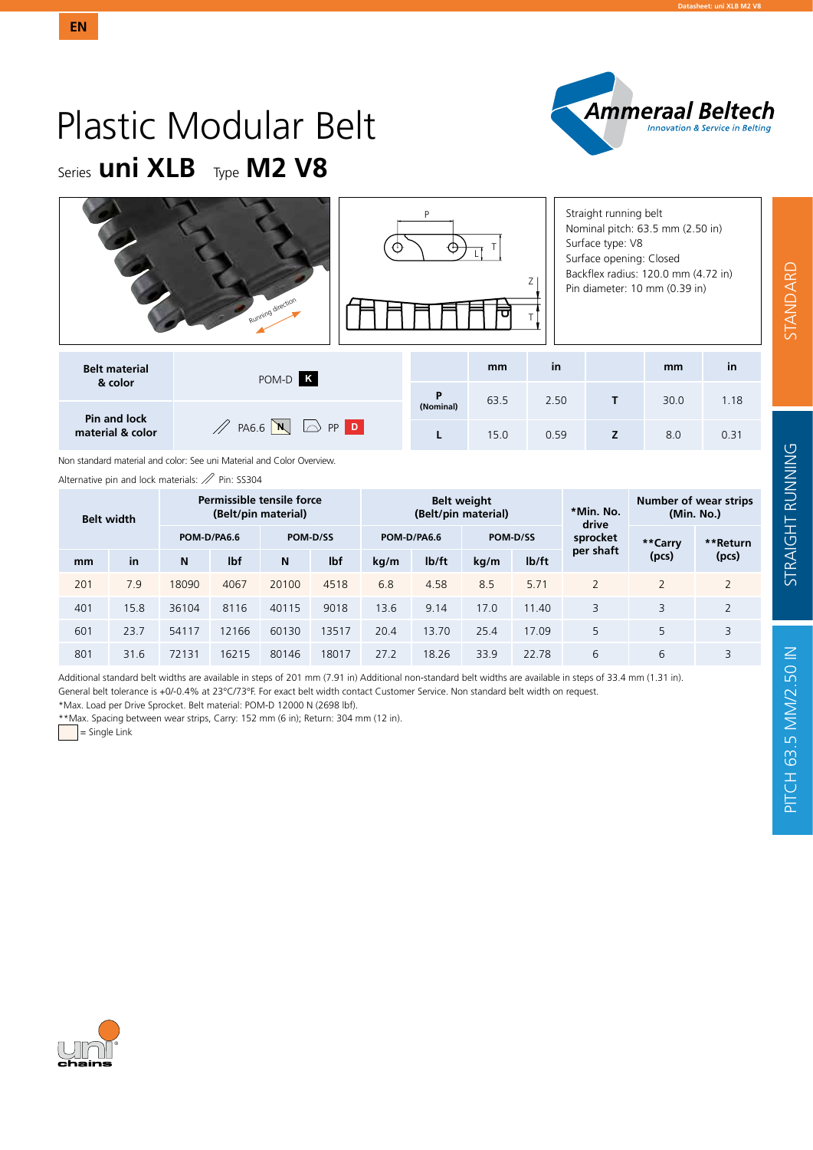

## Plastic Modular Belt Series **uni XLB** Type **M2 V8**

**EN**

|                                         | Running direction                         | P              |      |      | Straight running belt<br>Nominal pitch: 63.5 mm (2.50 in)<br>Surface type: V8<br>Surface opening: Closed<br>Backflex radius: 120.0 mm (4.72 in)<br>Pin diameter: 10 mm (0.39 in) |      |      |  |  |  |
|-----------------------------------------|-------------------------------------------|----------------|------|------|----------------------------------------------------------------------------------------------------------------------------------------------------------------------------------|------|------|--|--|--|
| <b>Belt material</b>                    | POM-D K                                   |                | mm   | in   |                                                                                                                                                                                  | mm   | in   |  |  |  |
| & color                                 |                                           | P<br>(Nominal) | 63.5 | 2.50 | т                                                                                                                                                                                | 30.0 | 1.18 |  |  |  |
| <b>Pin and lock</b><br>material & color | $\mathbb{Z}$ PA6.6 $N$<br>$\bigcirc$ PP D |                | 15.0 | 0.59 | Z                                                                                                                                                                                | 8.0  | 0.31 |  |  |  |

Non standard material and color: See uni Material and Color Overview.

Alternative pin and lock materials:  $\mathbb Z$  Pin: SS304

| <b>Belt width</b> |      |       |             | Permissible tensile force<br>(Belt/pin material) |       |             |                    | <b>Belt weight</b><br>(Belt/pin material) |                    | *Min. No.<br>drive |                | Number of wear strips<br>(Min. No.) |  |  |  |
|-------------------|------|-------|-------------|--------------------------------------------------|-------|-------------|--------------------|-------------------------------------------|--------------------|--------------------|----------------|-------------------------------------|--|--|--|
|                   |      |       | POM-D/PA6.6 | POM-D/SS                                         |       | POM-D/PA6.6 |                    | POM-D/SS                                  |                    | sprocket           | **Carry        | **Return                            |  |  |  |
| mm                | in   | N     | lbf         | N                                                | lbf   | kq/m        | I <sub>b</sub> /ft | kg/m                                      | I <sub>b</sub> /ft | per shaft          | (pcs)          | (pcs)                               |  |  |  |
| 201               | 7.9  | 18090 | 4067        | 20100                                            | 4518  | 6.8         | 4.58               | 8.5                                       | 5.71               | $\overline{2}$     | $\overline{2}$ | $\overline{2}$                      |  |  |  |
| 401               | 15.8 | 36104 | 8116        | 40115                                            | 9018  | 13.6        | 9.14               | 17.0                                      | 11.40              | 3                  | 3              | 2                                   |  |  |  |
| 601               | 23.7 | 54117 | 12166       | 60130                                            | 13517 | 20.4        | 13.70              | 25.4                                      | 17.09              | 5                  | 5              | 3                                   |  |  |  |
| 801               | 31.6 | 72131 | 16215       | 80146                                            | 18017 | 27.2        | 18.26              | 33.9                                      | 22.78              | 6                  | 6              | 3                                   |  |  |  |

Additional standard belt widths are available in steps of 201 mm (7.91 in) Additional non-standard belt widths are available in steps of 33.4 mm (1.31 in). General belt tolerance is +0/-0.4% at 23°C/73°F. For exact belt width contact Customer Service. Non standard belt width on request.

\*Max. Load per Drive Sprocket. Belt material: POM-D 12000 N (2698 lbf).

\*\*Max. Spacing between wear strips, Carry: 152 mm (6 in); Return: 304 mm (12 in).

= Single Link